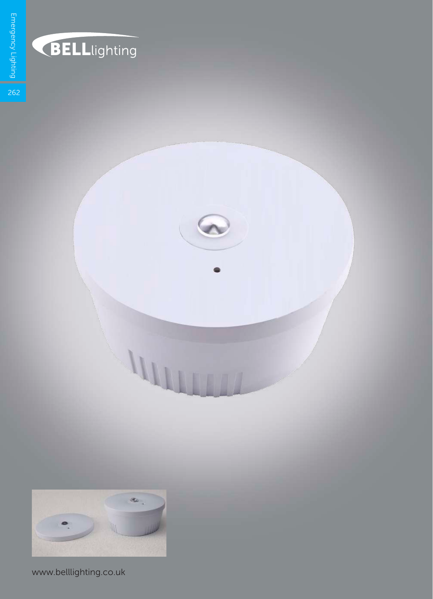

## **BELL**lighting

 $\zeta$ 

 $\frac{1}{262}$ 



www.belllighting.co.uk